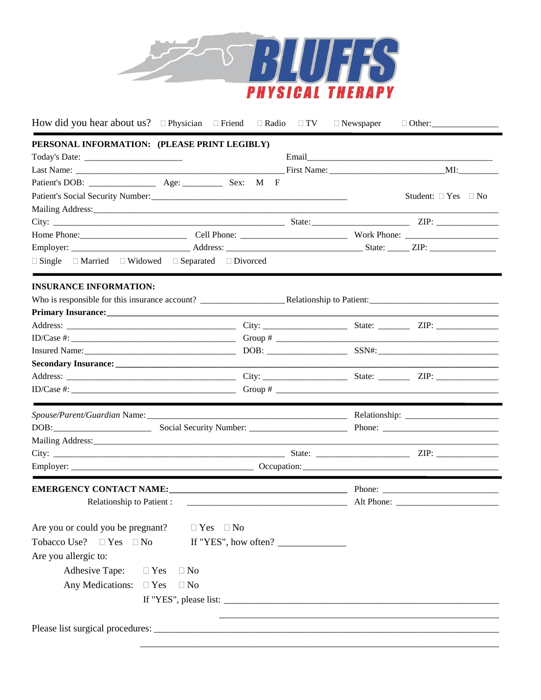

How did you hear about us?  $\Box$  Physician  $\Box$  Friend  $\Box$  Radio  $\Box$  TV  $\Box$  Newspaper PERSONAL INFORMATION: (PLEASE PRINT LEGIBLY) Email <u>contract and the contract of the contract of the contract of the contract of the contract of the contract of the contract of the contract of the contract of the contract of the contract of the contract of the contra</u> First Name: MI: Last Name: Student:  $\Box$  Yes  $\Box$  No Mailing Address:  $ZIP:$  $\Box$  Single  $\Box$  Married  $\Box$  Widowed  $\Box$  Separated  $\Box$  Divorced **INSURANCE INFORMATION: Primary Insurance:**  $DOB:$  SSN#: Insured Name: **Secondary Insurance:** Spouse/Parent/Guardian Name: Mailing Address: City: 2IP: 22IP: 2010) Employer: Cocupation: Cocupation: **Relationship to Patient:** Are you or could you be pregnant?  $\Box$  Yes  $\Box$  No Tobacco Use?  $\Box$  Yes  $\Box$  No If "YES", how often?  $\frac{1}{\sqrt{1-\frac{1}{\sqrt{1-\frac{1}{\sqrt{1-\frac{1}{\sqrt{1-\frac{1}{\sqrt{1-\frac{1}{\sqrt{1-\frac{1}{\sqrt{1-\frac{1}{\sqrt{1-\frac{1}{\sqrt{1-\frac{1}{\sqrt{1-\frac{1}{\sqrt{1-\frac{1}{\sqrt{1-\frac{1}{\sqrt{1-\frac{1}{\sqrt{1-\frac{1}{\sqrt{1-\frac{1}{\sqrt{1-\frac{1}{\sqrt{1-\frac{1}{\sqrt{1-\frac{1}{\sqrt{1-\frac{1}{\sqrt{1-\frac{1}{\sqrt{1-\frac{1}{\sqrt{1-\$ Are you allergic to: Adhesive Tape:  $\Box$  Yes  $\Box$  No Any Medications:  $\Box$  Yes  $\Box$  No If "YES", please list: Please list surgical procedures: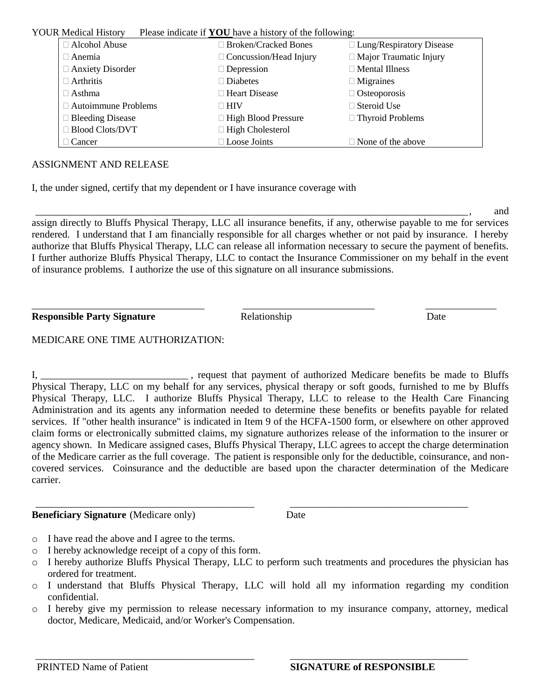| <b>YOUR Medical History</b> | Please indicate if <b>YOU</b> have a history of the following: |                                 |
|-----------------------------|----------------------------------------------------------------|---------------------------------|
| □ Alcohol Abuse             | □ Broken/Cracked Bones                                         | $\Box$ Lung/Respiratory Disease |
| Anemia                      | $\Box$ Concussion/Head Injury                                  | $\Box$ Major Traumatic Injury   |
| $\Box$ Anxiety Disorder     | Depression                                                     | $\Box$ Mental Illness           |
| ∃ Arthritis                 | Diabetes                                                       | $\Box$ Migraines                |
| □ Asthma                    | □ Heart Disease                                                | $\Box$ Osteoporosis             |
| $\Box$ Autoimmune Problems  | $\sqcap$ HIV                                                   | $\Box$ Steroid Use              |
| <b>Bleeding Disease</b>     | $\Box$ High Blood Pressure                                     | $\Box$ Thyroid Problems         |
| <b>Blood Clots/DVT</b>      | $\Box$ High Cholesterol                                        |                                 |

 $\Box$  Cancer  $\Box$  Loose Joints  $\Box$  None of the above

# ASSIGNMENT AND RELEASE

I, the under signed, certify that my dependent or I have insurance coverage with

\_\_\_\_\_\_\_\_\_\_\_\_\_\_\_\_\_\_\_\_\_\_\_\_\_\_\_\_\_\_\_\_\_\_\_\_\_\_\_\_\_\_\_\_\_\_\_\_\_\_\_\_\_\_\_\_\_\_\_\_\_\_\_\_\_\_\_\_\_\_\_\_\_\_\_\_\_\_\_\_\_\_\_\_\_, and assign directly to Bluffs Physical Therapy, LLC all insurance benefits, if any, otherwise payable to me for services rendered. I understand that I am financially responsible for all charges whether or not paid by insurance. I hereby authorize that Bluffs Physical Therapy, LLC can release all information necessary to secure the payment of benefits. I further authorize Bluffs Physical Therapy, LLC to contact the Insurance Commissioner on my behalf in the event of insurance problems. I authorize the use of this signature on all insurance submissions.

**Responsible Party Signature** Relationship Date

\_\_\_\_\_\_\_\_\_\_\_\_\_\_\_\_\_\_\_\_\_\_\_\_\_\_\_\_\_\_\_\_\_\_ \_\_\_\_\_\_\_\_\_\_\_\_\_\_\_\_\_\_\_\_\_\_\_\_\_\_ \_\_\_\_\_\_\_\_\_\_\_\_\_\_

MEDICARE ONE TIME AUTHORIZATION:

I, \_\_\_\_\_\_\_\_\_\_\_\_\_\_\_\_\_\_\_\_\_\_\_\_\_\_\_\_\_ , request that payment of authorized Medicare benefits be made to Bluffs Physical Therapy, LLC on my behalf for any services, physical therapy or soft goods, furnished to me by Bluffs Physical Therapy, LLC. I authorize Bluffs Physical Therapy, LLC to release to the Health Care Financing Administration and its agents any information needed to determine these benefits or benefits payable for related services. If "other health insurance" is indicated in Item 9 of the HCFA-1500 form, or elsewhere on other approved claim forms or electronically submitted claims, my signature authorizes release of the information to the insurer or agency shown. In Medicare assigned cases, Bluffs Physical Therapy, LLC agrees to accept the charge determination of the Medicare carrier as the full coverage. The patient is responsible only for the deductible, coinsurance, and noncovered services. Coinsurance and the deductible are based upon the character determination of the Medicare carrier.

**Beneficiary Signature** (Medicare only) Date

- o I have read the above and I agree to the terms.
- o I hereby acknowledge receipt of a copy of this form.
- o I hereby authorize Bluffs Physical Therapy, LLC to perform such treatments and procedures the physician has ordered for treatment.

\_\_\_\_\_\_\_\_\_\_\_\_\_\_\_\_\_\_\_\_\_\_\_\_\_\_\_\_\_\_\_\_\_\_\_\_\_\_\_\_\_\_\_ \_\_\_\_\_\_\_\_\_\_\_\_\_\_\_\_\_\_\_\_\_\_\_\_\_\_\_\_\_\_\_\_\_\_\_

- o I understand that Bluffs Physical Therapy, LLC will hold all my information regarding my condition confidential.
- o I hereby give my permission to release necessary information to my insurance company, attorney, medical doctor, Medicare, Medicaid, and/or Worker's Compensation.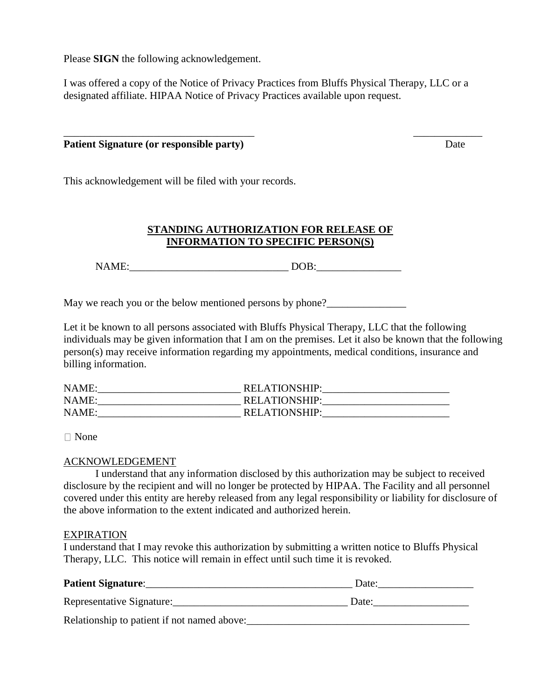Please **SIGN** the following acknowledgement.

I was offered a copy of the Notice of Privacy Practices from Bluffs Physical Therapy, LLC or a designated affiliate. HIPAA Notice of Privacy Practices available upon request.

\_\_\_\_\_\_\_\_\_\_\_\_\_\_\_\_\_\_\_\_\_\_\_\_\_\_\_\_\_\_\_\_\_\_\_\_ \_\_\_\_\_\_\_\_\_\_\_\_\_

### **Patient Signature** (or responsible party) Date

This acknowledgement will be filed with your records.

## **STANDING AUTHORIZATION FOR RELEASE OF INFORMATION TO SPECIFIC PERSON(S)**

NAME: DOB:

May we reach you or the below mentioned persons by phone?\_\_\_\_\_\_\_\_\_\_\_\_\_\_\_

Let it be known to all persons associated with Bluffs Physical Therapy, LLC that the following individuals may be given information that I am on the premises. Let it also be known that the following person(s) may receive information regarding my appointments, medical conditions, insurance and billing information.

| <b>NAME:</b> | <b>RELATIONSHIP:</b> |
|--------------|----------------------|
| <b>NAME:</b> | <b>RELATIONSHIP:</b> |
| NAME:        | <b>RELATIONSHIP:</b> |

 $\Box$  None

## ACKNOWLEDGEMENT

I understand that any information disclosed by this authorization may be subject to received disclosure by the recipient and will no longer be protected by HIPAA. The Facility and all personnel covered under this entity are hereby released from any legal responsibility or liability for disclosure of the above information to the extent indicated and authorized herein.

### EXPIRATION

I understand that I may revoke this authorization by submitting a written notice to Bluffs Physical Therapy, LLC. This notice will remain in effect until such time it is revoked.

| <b>Patient Signature:</b>                   | Date: |  |
|---------------------------------------------|-------|--|
| Representative Signature:                   | Date: |  |
| Relationship to patient if not named above: |       |  |